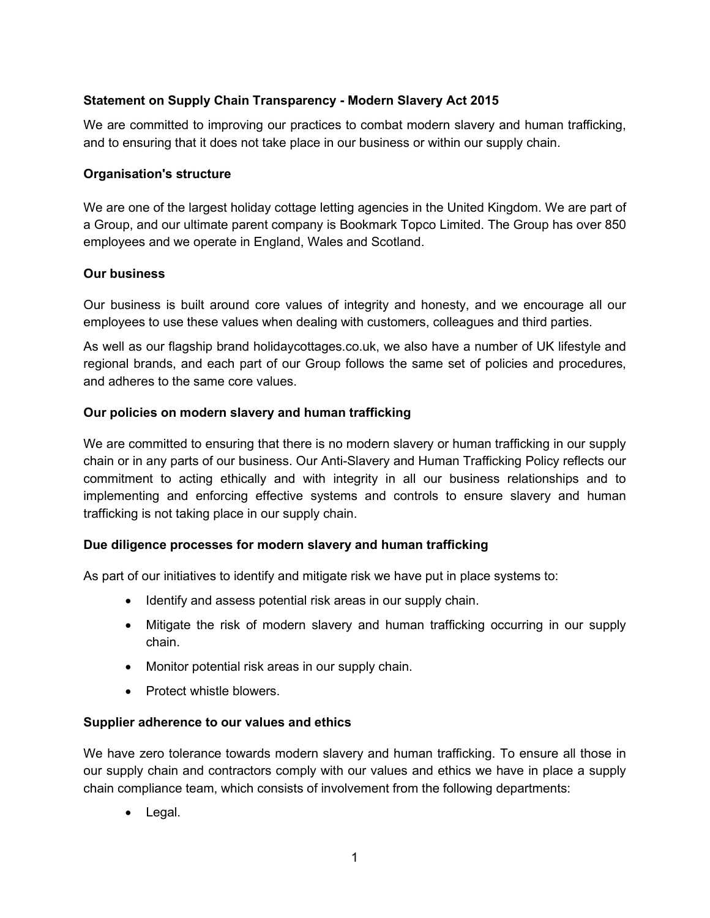# **Statement on Supply Chain Transparency - Modern Slavery Act 2015**

We are committed to improving our practices to combat modern slavery and human trafficking, and to ensuring that it does not take place in our business or within our supply chain.

### **Organisation's structure**

We are one of the largest holiday cottage letting agencies in the United Kingdom. We are part of a Group, and our ultimate parent company is Bookmark Topco Limited. The Group has over 850 employees and we operate in England, Wales and Scotland.

## **Our business**

Our business is built around core values of integrity and honesty, and we encourage all our employees to use these values when dealing with customers, colleagues and third parties.

As well as our flagship brand holidaycottages.co.uk, we also have a number of UK lifestyle and regional brands, and each part of our Group follows the same set of policies and procedures, and adheres to the same core values.

## **Our policies on modern slavery and human trafficking**

We are committed to ensuring that there is no modern slavery or human trafficking in our supply chain or in any parts of our business. Our Anti-Slavery and Human Trafficking Policy reflects our commitment to acting ethically and with integrity in all our business relationships and to implementing and enforcing effective systems and controls to ensure slavery and human trafficking is not taking place in our supply chain.

# **Due diligence processes for modern slavery and human trafficking**

As part of our initiatives to identify and mitigate risk we have put in place systems to:

- Identify and assess potential risk areas in our supply chain.
- Mitigate the risk of modern slavery and human trafficking occurring in our supply chain.
- Monitor potential risk areas in our supply chain.
- Protect whistle blowers.

#### **Supplier adherence to our values and ethics**

We have zero tolerance towards modern slavery and human trafficking. To ensure all those in our supply chain and contractors comply with our values and ethics we have in place a supply chain compliance team, which consists of involvement from the following departments:

• Legal.